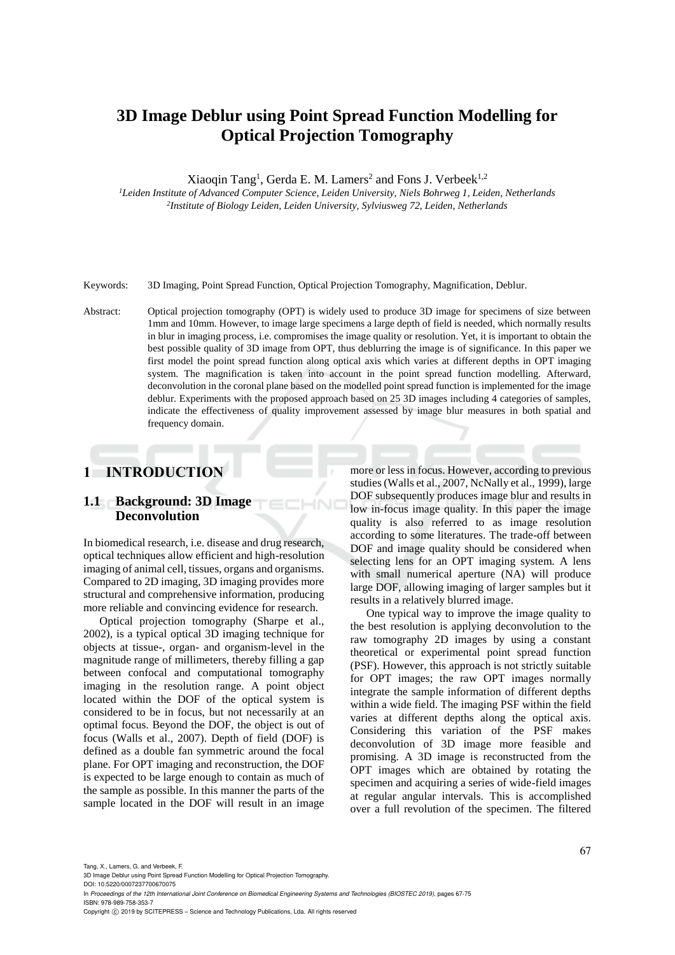# **3D Image Deblur using Point Spread Function Modelling for Optical Projection Tomography**

Xiaoqin Tang<sup>1</sup>, Gerda E. M. Lamers<sup>2</sup> and Fons J. Verbeek<sup>1,2</sup>

*<sup>1</sup>Leiden Institute of Advanced Computer Science, Leiden University, Niels Bohrweg 1, Leiden, Netherlands 2 Institute of Biology Leiden, Leiden University, Sylviusweg 72, Leiden, Netherlands*

Keywords: 3D Imaging, Point Spread Function, Optical Projection Tomography, Magnification, Deblur.

Abstract: Optical projection tomography (OPT) is widely used to produce 3D image for specimens of size between 1mm and 10mm. However, to image large specimens a large depth of field is needed, which normally results in blur in imaging process, i.e. compromises the image quality or resolution. Yet, it is important to obtain the best possible quality of 3D image from OPT, thus deblurring the image is of significance. In this paper we first model the point spread function along optical axis which varies at different depths in OPT imaging system. The magnification is taken into account in the point spread function modelling. Afterward, deconvolution in the coronal plane based on the modelled point spread function is implemented for the image deblur. Experiments with the proposed approach based on 25 3D images including 4 categories of samples, indicate the effectiveness of quality improvement assessed by image blur measures in both spatial and frequency domain.

НN

## **1 INTRODUCTION**

## **1.1 Background: 3D Image Deconvolution**

In biomedical research, i.e. disease and drug research, optical techniques allow efficient and high-resolution imaging of animal cell, tissues, organs and organisms. Compared to 2D imaging, 3D imaging provides more structural and comprehensive information, producing more reliable and convincing evidence for research.

Optical projection tomography (Sharpe et al., 2002), is a typical optical 3D imaging technique for objects at tissue-, organ- and organism-level in the magnitude range of millimeters, thereby filling a gap between confocal and computational tomography imaging in the resolution range. A point object located within the DOF of the optical system is considered to be in focus, but not necessarily at an optimal focus. Beyond the DOF, the object is out of focus (Walls et al., 2007). Depth of field (DOF) is defined as a double fan symmetric around the focal plane. For OPT imaging and reconstruction, the DOF is expected to be large enough to contain as much of the sample as possible. In this manner the parts of the sample located in the DOF will result in an image

more or less in focus. However, according to previous studies (Walls et al., 2007, NcNally et al., 1999), large DOF subsequently produces image blur and results in low in-focus image quality. In this paper the image quality is also referred to as image resolution according to some literatures. The trade-off between DOF and image quality should be considered when selecting lens for an OPT imaging system. A lens with small numerical aperture (NA) will produce large DOF, allowing imaging of larger samples but it results in a relatively blurred image.

One typical way to improve the image quality to the best resolution is applying deconvolution to the raw tomography 2D images by using a constant theoretical or experimental point spread function (PSF). However, this approach is not strictly suitable for OPT images; the raw OPT images normally integrate the sample information of different depths within a wide field. The imaging PSF within the field varies at different depths along the optical axis. Considering this variation of the PSF makes deconvolution of 3D image more feasible and promising. A 3D image is reconstructed from the OPT images which are obtained by rotating the specimen and acquiring a series of wide-field images at regular angular intervals. This is accomplished over a full revolution of the specimen. The filtered

Tang, X., Lamers, G. and Verbeek, F.

DOI: 10.5220/0007237700670075

In *Proceedings of the 12th International Joint Conference on Biomedical Engineering Systems and Technologies (BIOSTEC 2019)*, pages 67-75 ISBN: 978-989-758-353-7

Copyright (C) 2019 by SCITEPRESS - Science and Technology Publications, Lda. All rights reserved

<sup>3</sup>D Image Deblur using Point Spread Function Modelling for Optical Projection Tomography.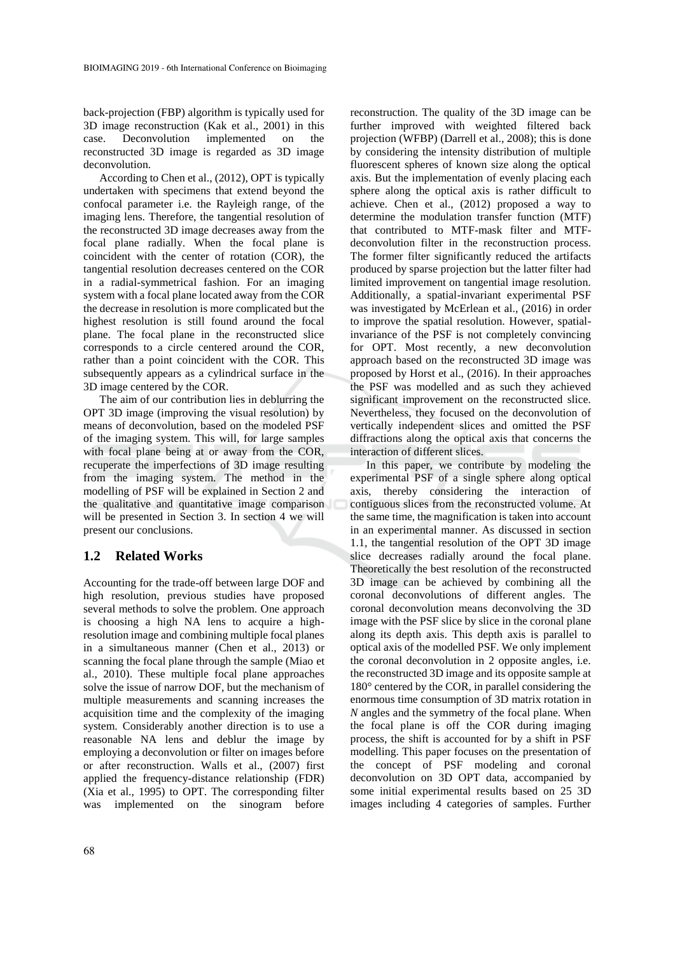back-projection (FBP) algorithm is typically used for 3D image reconstruction (Kak et al., 2001) in this case. Deconvolution implemented on the reconstructed 3D image is regarded as 3D image deconvolution.

According to Chen et al., (2012), OPT is typically undertaken with specimens that extend beyond the confocal parameter i.e. the Rayleigh range, of the imaging lens. Therefore, the tangential resolution of the reconstructed 3D image decreases away from the focal plane radially. When the focal plane is coincident with the center of rotation (COR), the tangential resolution decreases centered on the COR in a radial-symmetrical fashion. For an imaging system with a focal plane located away from the COR the decrease in resolution is more complicated but the highest resolution is still found around the focal plane. The focal plane in the reconstructed slice corresponds to a circle centered around the COR, rather than a point coincident with the COR. This subsequently appears as a cylindrical surface in the 3D image centered by the COR.

The aim of our contribution lies in deblurring the OPT 3D image (improving the visual resolution) by means of deconvolution, based on the modeled PSF of the imaging system. This will, for large samples with focal plane being at or away from the COR, recuperate the imperfections of 3D image resulting from the imaging system. The method in the modelling of PSF will be explained in Section 2 and the qualitative and quantitative image comparison will be presented in Section 3. In section 4 we will present our conclusions.

#### **1.2 Related Works**

Accounting for the trade-off between large DOF and high resolution, previous studies have proposed several methods to solve the problem. One approach is choosing a high NA lens to acquire a highresolution image and combining multiple focal planes in a simultaneous manner (Chen et al., 2013) or scanning the focal plane through the sample (Miao et al., 2010). These multiple focal plane approaches solve the issue of narrow DOF, but the mechanism of multiple measurements and scanning increases the acquisition time and the complexity of the imaging system. Considerably another direction is to use a reasonable NA lens and deblur the image by employing a deconvolution or filter on images before or after reconstruction. Walls et al., (2007) first applied the frequency-distance relationship (FDR) (Xia et al., 1995) to OPT. The corresponding filter was implemented on the sinogram before

reconstruction. The quality of the 3D image can be further improved with weighted filtered back projection (WFBP) (Darrell et al., 2008); this is done by considering the intensity distribution of multiple fluorescent spheres of known size along the optical axis. But the implementation of evenly placing each sphere along the optical axis is rather difficult to achieve. Chen et al., (2012) proposed a way to determine the modulation transfer function (MTF) that contributed to MTF-mask filter and MTFdeconvolution filter in the reconstruction process. The former filter significantly reduced the artifacts produced by sparse projection but the latter filter had limited improvement on tangential image resolution. Additionally, a spatial-invariant experimental PSF was investigated by McErlean et al., (2016) in order to improve the spatial resolution. However, spatialinvariance of the PSF is not completely convincing for OPT. Most recently, a new deconvolution approach based on the reconstructed 3D image was proposed by Horst et al., (2016). In their approaches the PSF was modelled and as such they achieved significant improvement on the reconstructed slice. Nevertheless, they focused on the deconvolution of vertically independent slices and omitted the PSF diffractions along the optical axis that concerns the interaction of different slices.

In this paper, we contribute by modeling the experimental PSF of a single sphere along optical axis, thereby considering the interaction of contiguous slices from the reconstructed volume. At the same time, the magnification is taken into account in an experimental manner. As discussed in section 1.1, the tangential resolution of the OPT 3D image slice decreases radially around the focal plane. Theoretically the best resolution of the reconstructed 3D image can be achieved by combining all the coronal deconvolutions of different angles. The coronal deconvolution means deconvolving the 3D image with the PSF slice by slice in the coronal plane along its depth axis. This depth axis is parallel to optical axis of the modelled PSF. We only implement the coronal deconvolution in 2 opposite angles, i.e. the reconstructed 3D image and its opposite sample at 180° centered by the COR, in parallel considering the enormous time consumption of 3D matrix rotation in *N* angles and the symmetry of the focal plane. When the focal plane is off the COR during imaging process, the shift is accounted for by a shift in PSF modelling. This paper focuses on the presentation of the concept of PSF modeling and coronal deconvolution on 3D OPT data, accompanied by some initial experimental results based on 25 3D images including 4 categories of samples. Further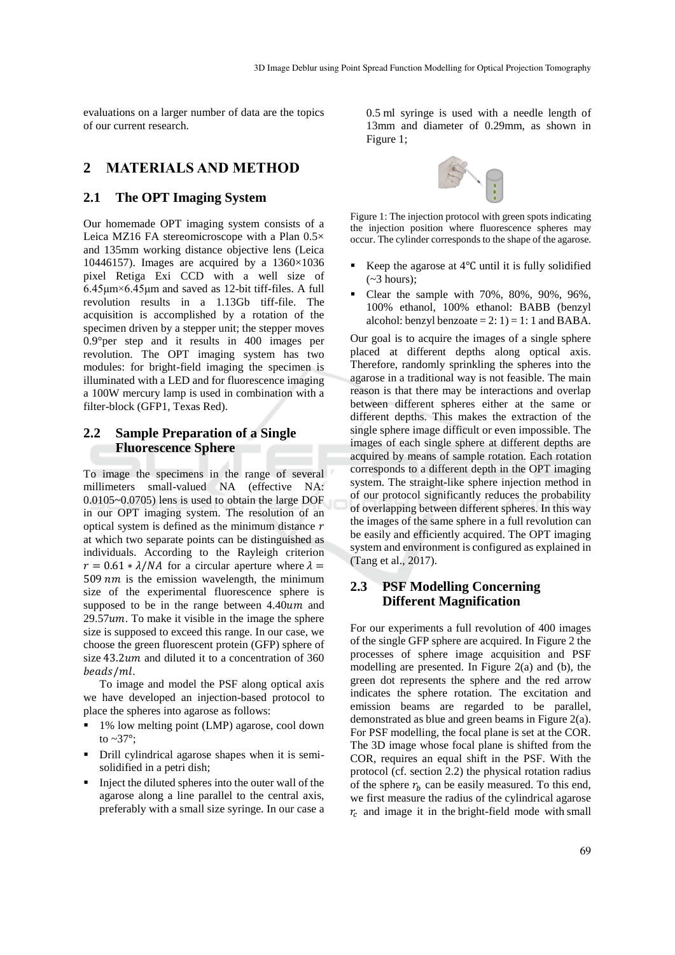evaluations on a larger number of data are the topics of our current research.

## **2 MATERIALS AND METHOD**

#### **2.1 The OPT Imaging System**

Our homemade OPT imaging system consists of a Leica MZ16 FA stereomicroscope with a Plan 0.5× and 135mm working distance objective lens (Leica 10446157). Images are acquired by a 1360×1036 pixel Retiga Exi CCD with a well size of 6.45μm×6.45μm and saved as 12-bit tiff-files. A full revolution results in a 1.13Gb tiff-file. The acquisition is accomplished by a rotation of the specimen driven by a stepper unit; the stepper moves 0.9°per step and it results in 400 images per revolution. The OPT imaging system has two modules: for bright-field imaging the specimen is illuminated with a LED and for fluorescence imaging a 100W mercury lamp is used in combination with a filter-block (GFP1, Texas Red).

## **2.2 Sample Preparation of a Single Fluorescence Sphere**

To image the specimens in the range of several millimeters small-valued NA (effective NA: 0.0105~0.0705) lens is used to obtain the large DOF in our OPT imaging system. The resolution of an optical system is defined as the minimum distance  $r$ at which two separate points can be distinguished as individuals. According to the Rayleigh criterion  $r = 0.61 * \lambda / NA$  for a circular aperture where  $\lambda =$ 509  $nm$  is the emission wavelength, the minimum size of the experimental fluorescence sphere is supposed to be in the range between  $4.40$ um and  $29.57$ *um*. To make it visible in the image the sphere size is supposed to exceed this range. In our case, we choose the green fluorescent protein (GFP) sphere of size 43.2*um* and diluted it to a concentration of 360 beads/ml.

To image and model the PSF along optical axis we have developed an injection-based protocol to place the spheres into agarose as follows:

- 1% low melting point (LMP) agarose, cool down to  $\sim$ 37°;
- Drill cylindrical agarose shapes when it is semisolidified in a petri dish;
- Inject the diluted spheres into the outer wall of the agarose along a line parallel to the central axis, preferably with a small size syringe. In our case a

0.5 ml syringe is used with a needle length of 13mm and diameter of 0.29mm, as shown in Figure 1;



Figure 1: The injection protocol with green spots indicating the injection position where fluorescence spheres may occur. The cylinder corresponds to the shape of the agarose.

- Keep the agarose at 4℃ until it is fully solidified  $(-3$  hours):
- Clear the sample with 70%, 80%, 90%, 96%, 100% ethanol, 100% ethanol: BABB (benzyl alcohol: benzyl benzoate  $= 2: 1$  = 1: 1 and BABA.

Our goal is to acquire the images of a single sphere placed at different depths along optical axis. Therefore, randomly sprinkling the spheres into the agarose in a traditional way is not feasible. The main reason is that there may be interactions and overlap between different spheres either at the same or different depths. This makes the extraction of the single sphere image difficult or even impossible. The images of each single sphere at different depths are acquired by means of sample rotation. Each rotation corresponds to a different depth in the OPT imaging system. The straight-like sphere injection method in of our protocol significantly reduces the probability of overlapping between different spheres. In this way the images of the same sphere in a full revolution can be easily and efficiently acquired. The OPT imaging system and environment is configured as explained in (Tang et al., 2017).

## **2.3 PSF Modelling Concerning Different Magnification**

For our experiments a full revolution of 400 images of the single GFP sphere are acquired. In Figure 2 the processes of sphere image acquisition and PSF modelling are presented. In Figure 2(a) and (b), the green dot represents the sphere and the red arrow indicates the sphere rotation. The excitation and emission beams are regarded to be parallel, demonstrated as blue and green beams in Figure 2(a). For PSF modelling, the focal plane is set at the COR. The 3D image whose focal plane is shifted from the COR, requires an equal shift in the PSF. With the protocol (cf. section 2.2) the physical rotation radius of the sphere  $r_b$  can be easily measured. To this end, we first measure the radius of the cylindrical agarose  $r_c$  and image it in the bright-field mode with small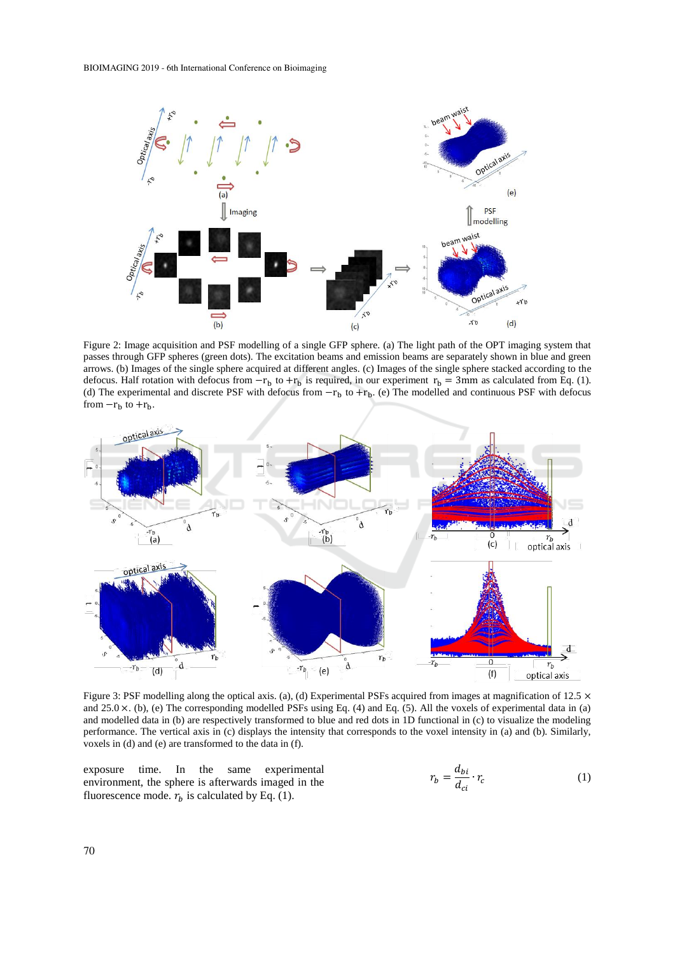

Figure 2: Image acquisition and PSF modelling of a single GFP sphere. (a) The light path of the OPT imaging system that passes through GFP spheres (green dots). The excitation beams and emission beams are separately shown in blue and green arrows. (b) Images of the single sphere acquired at different angles. (c) Images of the single sphere stacked according to the defocus. Half rotation with defocus from  $-r_b$  to  $+r_b$  is required, in our experiment  $r_b = 3$ mm as calculated from Eq. (1). (d) The experimental and discrete PSF with defocus from  $-r_b$  to  $+r_b$ . (e) The modelled and continuous PSF with defocus from  $-r_b$  to  $+r_b$ .



Figure 3: PSF modelling along the optical axis. (a), (d) Experimental PSFs acquired from images at magnification of 12.5  $\times$ and  $25.0 \times$ . (b), (e) The corresponding modelled PSFs using Eq. (4) and Eq. (5). All the voxels of experimental data in (a) and modelled data in (b) are respectively transformed to blue and red dots in 1D functional in (c) to visualize the modeling performance. The vertical axis in (c) displays the intensity that corresponds to the voxel intensity in (a) and (b). Similarly, voxels in (d) and (e) are transformed to the data in (f).

exposure time. In the same experimental environment, the sphere is afterwards imaged in the fluorescence mode.  $r_b$  is calculated by Eq. (1).

$$
r_b = \frac{d_{bi}}{d_{ci}} \cdot r_c \tag{1}
$$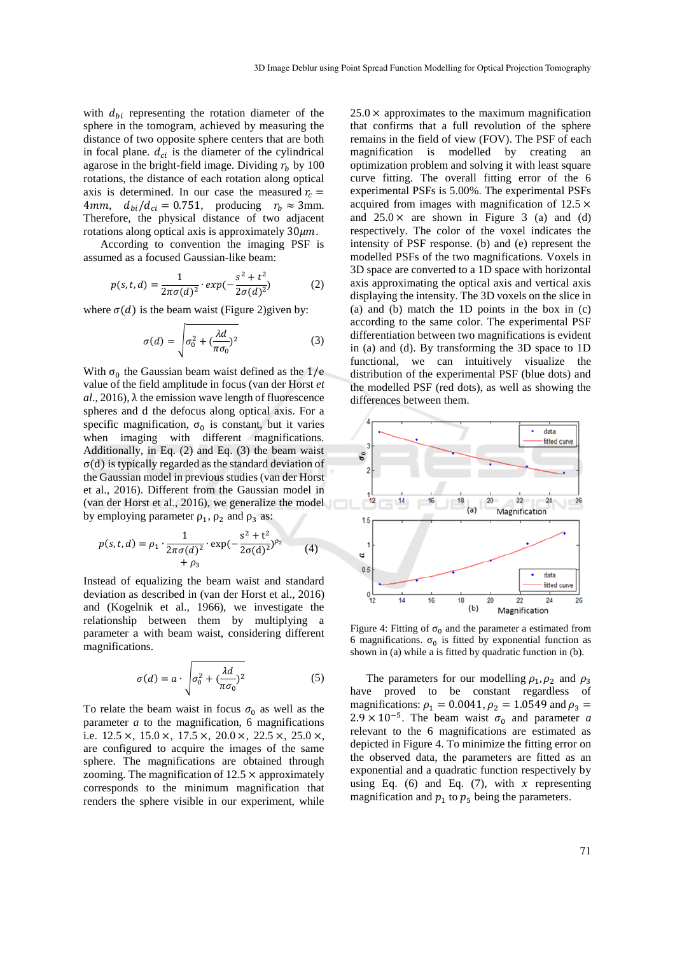with  $d_{bi}$  representing the rotation diameter of the sphere in the tomogram, achieved by measuring the distance of two opposite sphere centers that are both in focal plane.  $d_{ci}$  is the diameter of the cylindrical agarose in the bright-field image. Dividing  $r_b$  by 100 rotations, the distance of each rotation along optical axis is determined. In our case the measured  $r_c$  = 4mm,  $d_{hi}/d_{ci} = 0.751$ , producing  $r_h \approx 3$ mm. Therefore, the physical distance of two adjacent rotations along optical axis is approximately  $30 \mu m$ .

According to convention the imaging PSF is assumed as a focused Gaussian-like beam:

$$
p(s, t, d) = \frac{1}{2\pi\sigma(d)^2} \cdot exp(-\frac{s^2 + t^2}{2\sigma(d)^2})
$$
 (2)

where  $\sigma(d)$  is the beam waist (Figure 2)given by:

$$
\sigma(d) = \sqrt{\sigma_0^2 + (\frac{\lambda d}{\pi \sigma_0})^2}
$$
 (3)

With  $\sigma_0$  the Gaussian beam waist defined as the  $1/e$ value of the field amplitude in focus (van der Horst *et*   $al$ , 2016),  $\lambda$  the emission wave length of fluorescence spheres and d the defocus along optical axis. For a specific magnification,  $\sigma_0$  is constant, but it varies when imaging with different magnifications. Additionally, in Eq. (2) and Eq. (3) the beam waist σ(d) is typically regarded as the standard deviation of the Gaussian model in previous studies (van der Horst et al., 2016). Different from the Gaussian model in (van der Horst et al., 2016), we generalize the model by employing parameter  $\rho_1$ ,  $\rho_2$  and  $\rho_3$  as:

$$
p(s, t, d) = \rho_1 \cdot \frac{1}{2\pi\sigma(d)^2} \cdot \exp(-\frac{s^2 + t^2}{2\sigma(d)^2})^{\rho_2}
$$
 (4)  
+  $\rho_3$ 

Instead of equalizing the beam waist and standard deviation as described in (van der Horst et al., 2016) and (Kogelnik et al., 1966), we investigate the relationship between them by multiplying a parameter a with beam waist, considering different magnifications.

$$
\sigma(d) = a \cdot \sqrt{\sigma_0^2 + (\frac{\lambda d}{\pi \sigma_0})^2}
$$
 (5)

To relate the beam waist in focus  $\sigma_0$  as well as the parameter *a* to the magnification, 6 magnifications i.e.  $12.5 \times$ ,  $15.0 \times$ ,  $17.5 \times$ ,  $20.0 \times$ ,  $22.5 \times$ ,  $25.0 \times$ , are configured to acquire the images of the same sphere. The magnifications are obtained through zooming. The magnification of  $12.5 \times$  approximately corresponds to the minimum magnification that renders the sphere visible in our experiment, while

 $25.0 \times$  approximates to the maximum magnification that confirms that a full revolution of the sphere remains in the field of view (FOV). The PSF of each magnification is modelled by creating an optimization problem and solving it with least square curve fitting. The overall fitting error of the 6 experimental PSFs is 5.00%. The experimental PSFs acquired from images with magnification of 12.5 × and  $25.0 \times$  are shown in Figure 3 (a) and (d) respectively. The color of the voxel indicates the intensity of PSF response. (b) and (e) represent the modelled PSFs of the two magnifications. Voxels in 3D space are converted to a 1D space with horizontal axis approximating the optical axis and vertical axis displaying the intensity. The 3D voxels on the slice in (a) and (b) match the 1D points in the box in (c) according to the same color. The experimental PSF differentiation between two magnifications is evident in (a) and (d). By transforming the 3D space to 1D functional, we can intuitively visualize the distribution of the experimental PSF (blue dots) and the modelled PSF (red dots), as well as showing the differences between them.



Figure 4: Fitting of  $\sigma_0$  and the parameter a estimated from 6 magnifications.  $\sigma_0$  is fitted by exponential function as shown in (a) while a is fitted by quadratic function in (b).

The parameters for our modelling  $\rho_1$ ,  $\rho_2$  and  $\rho_3$ have proved to be constant regardless of magnifications:  $\rho_1 = 0.0041$ ,  $\rho_2 = 1.0549$  and  $\rho_3 =$  $2.9 \times 10^{-5}$ . The beam waist  $\sigma_0$  and parameter *a* relevant to the 6 magnifications are estimated as depicted in Figure 4. To minimize the fitting error on the observed data, the parameters are fitted as an exponential and a quadratic function respectively by using Eq. (6) and Eq. (7), with  $x$  representing magnification and  $p_1$  to  $p_5$  being the parameters.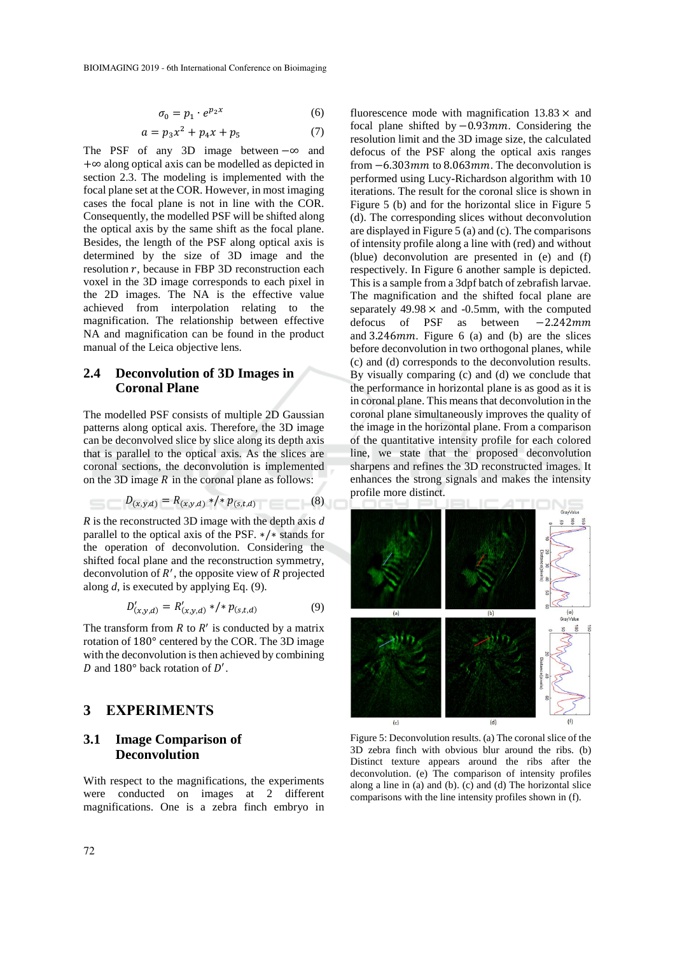$$
\sigma_0 = p_1 \cdot e^{p_2 x} \tag{6}
$$

$$
a = p_3 x^2 + p_4 x + p_5 \tag{7}
$$

The PSF of any 3D image between −∞ and +∞ along optical axis can be modelled as depicted in section 2.3. The modeling is implemented with the focal plane set at the COR. However, in most imaging cases the focal plane is not in line with the COR. Consequently, the modelled PSF will be shifted along the optical axis by the same shift as the focal plane. Besides, the length of the PSF along optical axis is determined by the size of 3D image and the resolution  $r$ , because in FBP 3D reconstruction each voxel in the 3D image corresponds to each pixel in the 2D images. The NA is the effective value achieved from interpolation relating to the magnification. The relationship between effective NA and magnification can be found in the product manual of the Leica objective lens.

#### **2.4 Deconvolution of 3D Images in Coronal Plane**

The modelled PSF consists of multiple 2D Gaussian patterns along optical axis. Therefore, the 3D image can be deconvolved slice by slice along its depth axis that is parallel to the optical axis. As the slices are coronal sections, the deconvolution is implemented on the 3D image  $R$  in the coronal plane as follows:

$$
D_{(x,y,d)} = R_{(x,y,d)} * / * p_{(s,t,d)}
$$
(8)

*R* is the reconstructed 3D image with the depth axis *d* parallel to the optical axis of the PSF. ∗/∗ stands for the operation of deconvolution. Considering the shifted focal plane and the reconstruction symmetry, deconvolution of ′ , the opposite view of *R* projected along *d*, is executed by applying Eq. (9).

$$
D'_{(x,y,d)} = R'_{(x,y,d)} * / * p_{(s,t,d)}
$$
(9)

The transform from  $R$  to  $R'$  is conducted by a matrix rotation of 180° centered by the COR. The 3D image with the deconvolution is then achieved by combining D and  $180^\circ$  back rotation of D'.

#### **3 EXPERIMENTS**

### **3.1 Image Comparison of Deconvolution**

With respect to the magnifications, the experiments were conducted on images at 2 different magnifications. One is a zebra finch embryo in

fluorescence mode with magnification  $13.83 \times$  and focal plane shifted by -0.93mm. Considering the resolution limit and the 3D image size, the calculated defocus of the PSF along the optical axis ranges from  $-6.303$ *mm* to 8.063*mm*. The deconvolution is performed using Lucy-Richardson algorithm with 10 iterations. The result for the coronal slice is shown in Figure 5 (b) and for the horizontal slice in Figure 5 (d). The corresponding slices without deconvolution are displayed in Figure 5 (a) and (c). The comparisons of intensity profile along a line with (red) and without (blue) deconvolution are presented in (e) and (f) respectively. In Figure 6 another sample is depicted. This is a sample from a 3dpf batch of zebrafish larvae. The magnification and the shifted focal plane are separately  $49.98 \times$  and  $-0.5$ mm, with the computed defocus of PSF as between -2.242mm and  $3.246$ *mm*. Figure 6 (a) and (b) are the slices before deconvolution in two orthogonal planes, while (c) and (d) corresponds to the deconvolution results. By visually comparing (c) and (d) we conclude that the performance in horizontal plane is as good as it is in coronal plane. This means that deconvolution in the coronal plane simultaneously improves the quality of the image in the horizontal plane. From a comparison of the quantitative intensity profile for each colored line, we state that the proposed deconvolution sharpens and refines the 3D reconstructed images. It enhances the strong signals and makes the intensity profile more distinct.



Figure 5: Deconvolution results. (a) The coronal slice of the 3D zebra finch with obvious blur around the ribs. (b) Distinct texture appears around the ribs after the deconvolution. (e) The comparison of intensity profiles along a line in (a) and (b). (c) and (d) The horizontal slice comparisons with the line intensity profiles shown in (f).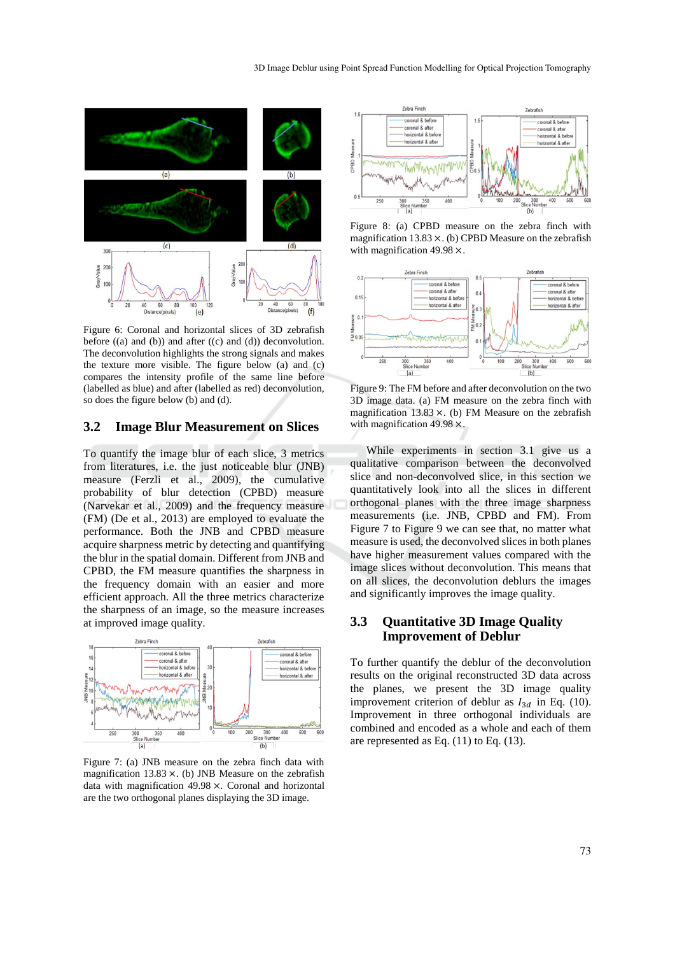

Figure 6: Coronal and horizontal slices of 3D zebrafish before  $((a)$  and  $(b))$  and after  $((c)$  and  $(d))$  deconvolution. The deconvolution highlights the strong signals and makes the texture more visible. The figure below (a) and (c) compares the intensity profile of the same line before (labelled as blue) and after (labelled as red) deconvolution, so does the figure below (b) and (d).

#### **3.2 Image Blur Measurement on Slices**

To quantify the image blur of each slice, 3 metrics from literatures, i.e. the just noticeable blur (JNB) measure (Ferzli et al., 2009), the cumulative probability of blur detection (CPBD) measure (Narvekar et al., 2009) and the frequency measure (FM) (De et al., 2013) are employed to evaluate the performance. Both the JNB and CPBD measure acquire sharpness metric by detecting and quantifying the blur in the spatial domain. Different from JNB and CPBD, the FM measure quantifies the sharpness in the frequency domain with an easier and more efficient approach. All the three metrics characterize the sharpness of an image, so the measure increases at improved image quality.



Figure 7: (a) JNB measure on the zebra finch data with magnification  $13.83 \times$ . (b) JNB Measure on the zebrafish data with magnification 49.98 ×. Coronal and horizontal are the two orthogonal planes displaying the 3D image.



Figure 8: (a) CPBD measure on the zebra finch with magnification  $13.83 \times$ . (b) CPBD Measure on the zebrafish with magnification 49.98 ×.



Figure 9: The FM before and after deconvolution on the two 3D image data. (a) FM measure on the zebra finch with magnification  $13.83 \times$ . (b) FM Measure on the zebrafish with magnification 49.98  $\times$ .

While experiments in section 3.1 give us a qualitative comparison between the deconvolved slice and non-deconvolved slice, in this section we quantitatively look into all the slices in different orthogonal planes with the three image sharpness measurements (i.e. JNB, CPBD and FM). From Figure 7 to Figure 9 we can see that, no matter what measure is used, the deconvolved slices in both planes have higher measurement values compared with the image slices without deconvolution. This means that on all slices, the deconvolution deblurs the images and significantly improves the image quality.

#### **3.3 Quantitative 3D Image Quality Improvement of Deblur**

To further quantify the deblur of the deconvolution results on the original reconstructed 3D data across the planes, we present the 3D image quality improvement criterion of deblur as  $I_{3d}$  in Eq. (10). Improvement in three orthogonal individuals are combined and encoded as a whole and each of them are represented as Eq.  $(11)$  to Eq.  $(13)$ .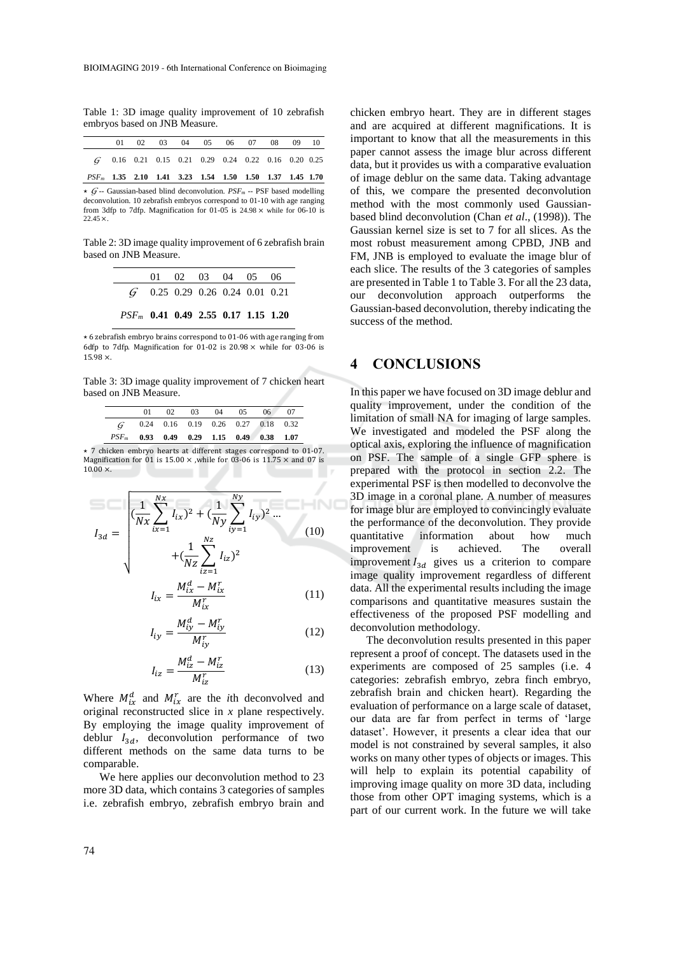Table 1: 3D image quality improvement of 10 zebrafish embryos based on JNB Measure.

|                                                           |  |  | 01 02 03 04 05 06 07 08 09 10                           |  |  |  |
|-----------------------------------------------------------|--|--|---------------------------------------------------------|--|--|--|
|                                                           |  |  | $G = 0.16$ 0.21 0.15 0.21 0.29 0.24 0.22 0.16 0.20 0.25 |  |  |  |
| $PSF_m$ 1.35 2.10 1.41 3.23 1.54 1.50 1.50 1.37 1.45 1.70 |  |  |                                                         |  |  |  |

 $\star$  *G* -- Gaussian-based blind deconvolution. *PSF<sub>m</sub>* -- PSF based modelling deconvolution. 10 zebrafish embryos correspond to 01-10 with age ranging from 3dfp to 7dfp. Magnification for 01-05 is  $24.98 \times$  while for 06-10 is  $22.45 \times$ 

Table 2: 3D image quality improvement of 6 zebrafish brain based on JNB Measure.

|                                   | 01 02 03 04 05 06 |  |  |
|-----------------------------------|-------------------|--|--|
| $G$ 0.25 0.29 0.26 0.24 0.01 0.21 |                   |  |  |

 $\mathbf{r}$ 

*PSF<sup>m</sup>* **0.41 0.49 2.55 0.17 1.15 1.20**

 $\star$  6 zebrafish embryo brains correspond to 01-06 with age ranging from 6dfp to 7dfp. Magnification for 01-02 is  $20.98 \times$  while for 03-06 is 15.98 ×.

Table 3: 3D image quality improvement of 7 chicken heart based on JNB Measure.

|                                            | $^{\Omega}$ |  | 02 03 04 | 05 | 06                                   | 07 |
|--------------------------------------------|-------------|--|----------|----|--------------------------------------|----|
| G                                          |             |  |          |    | $0.24$ 0.16 0.19 0.26 0.27 0.18 0.32 |    |
| $PSF_m$ 0.93 0.49 0.29 1.15 0.49 0.38 1.07 |             |  |          |    |                                      |    |

⋆ 7 chicken embryo hearts at different stages correspond to 01-07. Magnification for 01 is 15.00  $\times$  ,while for 03-06 is 11.75  $\times$  and 07 is  $10.00 \times$ 

$$
I_{3d} = \sqrt{\frac{1}{Nx} \sum_{ix=1}^{Nx} I_{ix}^2 + \left(\frac{1}{Ny} \sum_{iy=1}^{Ny} I_{iy}^2\right)^2 \dots + \left(\frac{1}{Nz} \sum_{iz=1}^{Nz} I_{iz}^2\right)^2 + \left(\frac{1}{Nz} \sum_{iz=1}^{Nx} I_{iz}^2\right)^2}
$$
\n
$$
I_{ix} = \frac{M_{ix}^d - M_{ix}^r}{M_{ix}^r}
$$
\n(11)

$$
I_{iy} = \frac{M_{iy}^d - M_{iy}^r}{M_{iy}^r}
$$
 (12)

J

$$
I_{iz} = \frac{M_{iz}^d - M_{iz}^r}{M_{iz}^r} \tag{13}
$$

Where  $M_{ix}^d$  and  $M_{ix}^r$  are the *i*th deconvolved and original reconstructed slice in *x* plane respectively. By employing the image quality improvement of deblur  $I_{3d}$ , deconvolution performance of two different methods on the same data turns to be comparable.

We here applies our deconvolution method to 23 more 3D data, which contains 3 categories of samples i.e. zebrafish embryo, zebrafish embryo brain and chicken embryo heart. They are in different stages and are acquired at different magnifications. It is important to know that all the measurements in this paper cannot assess the image blur across different data, but it provides us with a comparative evaluation of image deblur on the same data. Taking advantage of this, we compare the presented deconvolution method with the most commonly used Gaussianbased blind deconvolution (Chan *et al*., (1998)). The Gaussian kernel size is set to 7 for all slices. As the most robust measurement among CPBD, JNB and FM, JNB is employed to evaluate the image blur of each slice. The results of the 3 categories of samples are presented in Table 1 to Table 3. For all the 23 data, our deconvolution approach outperforms the Gaussian-based deconvolution, thereby indicating the success of the method.

## **4 CONCLUSIONS**

In this paper we have focused on 3D image deblur and quality improvement, under the condition of the limitation of small NA for imaging of large samples. We investigated and modeled the PSF along the optical axis, exploring the influence of magnification on PSF. The sample of a single GFP sphere is prepared with the protocol in section 2.2. The experimental PSF is then modelled to deconvolve the 3D image in a coronal plane. A number of measures for image blur are employed to convincingly evaluate the performance of the deconvolution. They provide quantitative information about how much improvement is achieved. The overall improvement  $I_{3d}$  gives us a criterion to compare image quality improvement regardless of different data. All the experimental results including the image comparisons and quantitative measures sustain the effectiveness of the proposed PSF modelling and deconvolution methodology.

The deconvolution results presented in this paper represent a proof of concept. The datasets used in the experiments are composed of 25 samples (i.e. 4 categories: zebrafish embryo, zebra finch embryo, zebrafish brain and chicken heart). Regarding the evaluation of performance on a large scale of dataset, our data are far from perfect in terms of 'large dataset'. However, it presents a clear idea that our model is not constrained by several samples, it also works on many other types of objects or images. This will help to explain its potential capability of improving image quality on more 3D data, including those from other OPT imaging systems, which is a part of our current work. In the future we will take